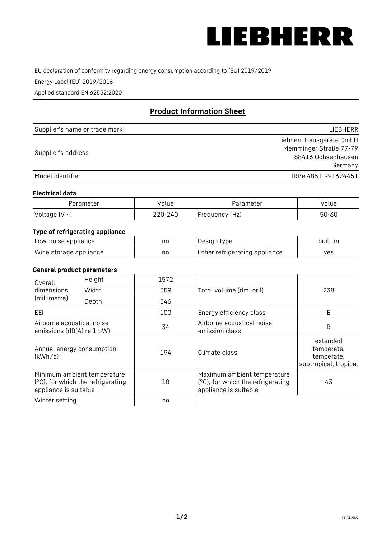

EU declaration of conformity regarding energy consumption according to (EU) 2019/2019

Energy Label (EU) 2019/2016

Applied standard EN 62552:2020

# **Product Information Sheet**

| Supplier's name or trade mark | LIEBHERR                 |
|-------------------------------|--------------------------|
|                               | Liebherr-Hausgeräte GmbH |
|                               | Memminger Straße 77-79   |
| Supplier's address            | 88416 Ochsenhausen       |
|                               | Germany                  |
| Model identifier              | IRBe 4851 991624451      |

#### **Electrical data**

| Parameter           | Value   | Parameter      | alue/     |
|---------------------|---------|----------------|-----------|
| Voltage (V $\sim$ ) | 220-240 | Frequency (Hz) | $50 - 60$ |

# **Type of refrigerating appliance**

| Low-noise appliance    | no | Design type                   | built-in |
|------------------------|----|-------------------------------|----------|
| Wine storage appliance | nc | Other refrigerating appliance | ves      |

### **General product parameters**

| Height<br>Overall<br>dimensions<br>Width<br>(millimetre)<br>Depth | 1572                                                             |     |                                                                                           |                                                               |
|-------------------------------------------------------------------|------------------------------------------------------------------|-----|-------------------------------------------------------------------------------------------|---------------------------------------------------------------|
|                                                                   |                                                                  | 559 | Total volume (dm <sup>3</sup> or l)                                                       | 238                                                           |
|                                                                   |                                                                  | 546 |                                                                                           |                                                               |
| EEL                                                               |                                                                  | 100 | Energy efficiency class                                                                   | E                                                             |
| Airborne acoustical noise<br>emissions (dB(A) re 1 pW)            |                                                                  | 34  | Airborne acoustical noise<br>emission class                                               | B                                                             |
| Annual energy consumption<br>(kWh/a)                              |                                                                  | 194 | Climate class                                                                             | extended<br>temperate,<br>temperate,<br>subtropical, tropical |
| appliance is suitable                                             | Minimum ambient temperature<br>(°C), for which the refrigerating | 10  | Maximum ambient temperature<br>(°C), for which the refrigerating<br>appliance is suitable | 43                                                            |
| Winter setting                                                    |                                                                  | no  |                                                                                           |                                                               |